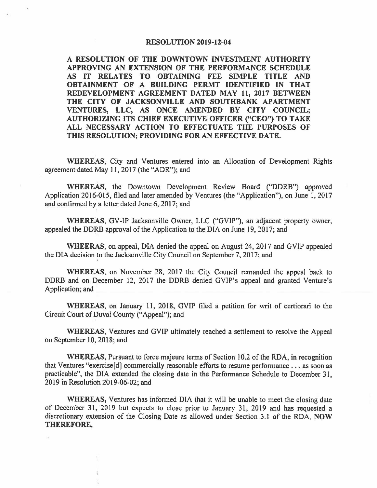## RESOLUTION 2019-12-04

A RESOLUTION OF THE DOWNTOWN INVESTMENT AUTHORITY APPROVING AN EXTENSION OF THE PERFORMANCE SCHEDULE AS IT RELATES TO OBTAINING FEE SIMPLE TITLE AND OBTAINMENT OF A BUILDING PERMT IDENTIFIED IN THAT REDEVELOPMENT AGREEMENT DATED MAY 11, 2017 BETWEEN THE CITY OF JACKSONVILLE AND SOUTHBANK APARTMENT VENTURES, LLC, AS ONCE AMENDED BY CITY COUNCIL; **AUTHORIZING ITS CHIEF EXECUTIVE OFFICER ("CEO") TO TAKE ALL NECESSARY ACTION TO EFFECTUATE THE PURPOSES OF THIS RESOLUTION; PROVIDING FOR AN EFFECTIVE DATE.** 

**WHEREAS,** City and Ventures entered into an Allocation of Development Rights agreement dated May 11, 2017 (the "ADR"); and

**WHEREAS,** the Downtown Development Review Board {"DDRB") approved Application 2016-015, filed and later amended by Ventures (the "Application"), on June 1, 2017 and confirmed by a letter dated June 6, 2017; and

**WHEREAS,** GV-IP Jacksonville Owner, LLC ("GVIP"), an adjacent property owner, appealed the DDRB approval of the Application to the DIA on June 19, 2017; and

**WHEERAS,** on appeal, DIA denied the appeal on August 24, 2017 and GVIP appealed the DIA decision to the Jacksonville City Council on September 7, 2017; and

'

Ť

**WHEREAS,** on November 28, 2017 the City Council remanded the appeal back to DDRB and on December 12, 2017 the DDRB denied GVIP's appeal and granted Venture's Application; and

**WHEREAS,** on January 11, 2018, GVIP filed a petition for writ of certiorari to the Circuit Court of Duval County ("Appeal"); and

**WHEREAS,** Ventures and GVIP ultimately reached a settlement to resolve the Appeal on September 10, 2018; and

**WHEREAS,** Pursuant to force majeure terms of Section 10.2 of the RDA, in recognition that Ventures "exercise[d] commercially reasonable efforts to resume performance .. . as soon as practicable", the DIA extended the closing date in the Performance Schedule to December 31, 2019 in Resolution 2019-06-02; and

**WHEREAS,** Ventures has informed DIA that it will be unable to meet the closing date of December 31, 2019 but expects to close prior to January 31, 2019 and has requested a discretionary extension of the Closing Date as allowed under Section 3.1 of the RDA, **NOW THEREFORE,**